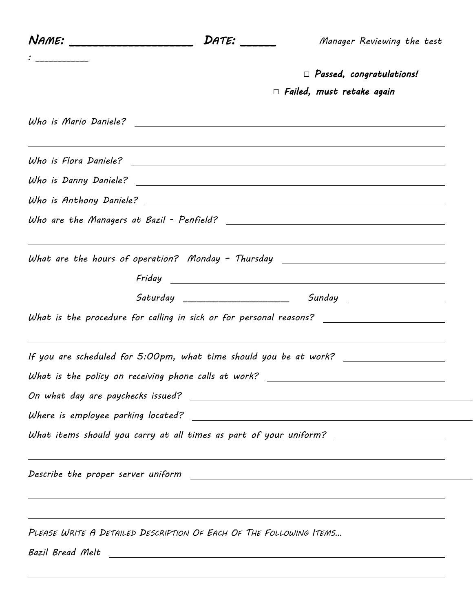| Name: ________________________ | DATE:                                                              | Manager Reviewing the test                                                                           |
|--------------------------------|--------------------------------------------------------------------|------------------------------------------------------------------------------------------------------|
|                                |                                                                    | $\Box$ Passed, congratulations!                                                                      |
|                                |                                                                    | $\Box$ Failed, must retake again                                                                     |
|                                |                                                                    |                                                                                                      |
|                                |                                                                    |                                                                                                      |
|                                |                                                                    |                                                                                                      |
|                                |                                                                    |                                                                                                      |
|                                |                                                                    |                                                                                                      |
|                                |                                                                    | What are the hours of operation? Monday - Thursday _____________________________                     |
| Friday                         |                                                                    | <u> 1989 - Johann Barnett, fransk politik (d. 1989)</u>                                              |
|                                |                                                                    |                                                                                                      |
|                                |                                                                    | What is the procedure for calling in sick or for personal reasons? _________________________________ |
|                                |                                                                    | If you are scheduled for 5:00pm, what time should you be at work? _______________                    |
|                                |                                                                    | What is the policy on receiving phone calls at work? ___________________________                     |
|                                |                                                                    |                                                                                                      |
|                                |                                                                    |                                                                                                      |
|                                |                                                                    | What items should you carry at all times as part of your uniform? _____________________              |
|                                |                                                                    | ,我们也不会有什么。""我们的人,我们也不会有什么?""我们的人,我们也不会有什么?""我们的人,我们也不会有什么?""我们的人,我们也不会有什么?""我们的人                     |
|                                |                                                                    | ,我们也不会有什么。""我们的人,我们也不会有什么?""我们的人,我们也不会有什么?""我们的人,我们也不会有什么?""我们的人,我们也不会有什么?""我们的人                     |
|                                | PLEASE WRITE A DETAILED DESCRIPTION OF EACH OF THE FOLLOWING ITEMS |                                                                                                      |
|                                |                                                                    |                                                                                                      |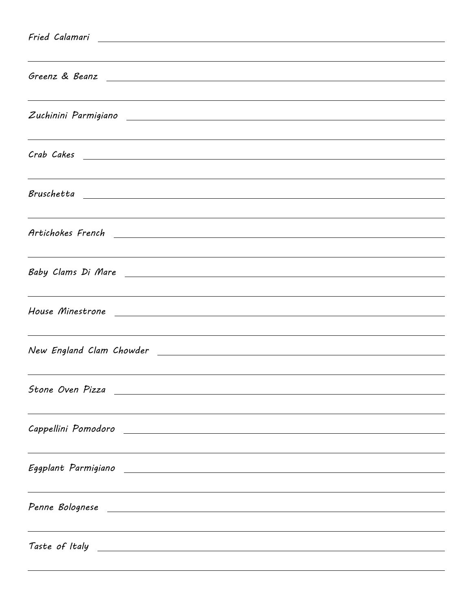| <u> 1989 - Andrea Barbara, Amerikaansk politik (d. 1989)</u><br>Greenz & Beanz 2008 and 2008 and 2008 and 2008 and 2008 and 2008 and 2008 and 2008 and 2008 and 2008 and 2008 |
|-------------------------------------------------------------------------------------------------------------------------------------------------------------------------------|
| ,我们也不会有什么。""我们的人,我们也不会有什么?""我们的人,我们也不会有什么?""我们的人,我们也不会有什么?""我们的人,我们也不会有什么?""我们的人                                                                                              |
| <u> 1989 - Andrea Santana, amerikana amerikana amerikana amerikana amerikana amerikana amerikana amerikana amerika</u>                                                        |
|                                                                                                                                                                               |
| <u> 1989 - Jan Samuel Barbara, margaret amerikan basa dan berasal dan berasal dalam berasal dalam berasal dalam </u>                                                          |
| ,我们也不会有什么。""我们的人,我们也不会有什么?""我们的人,我们也不会有什么?""我们的人,我们也不会有什么?""我们的人,我们也不会有什么?""我们的人                                                                                              |
| ,我们也不会有什么。""我们的人,我们也不会有什么?""我们的人,我们也不会有什么?""我们的人,我们也不会有什么?""我们的人,我们也不会有什么?""我们的人                                                                                              |
|                                                                                                                                                                               |
| Stone Oven Pizza<br><u> 1989 - Jan Samuel Barbara, margaret e popularista e popularista e popularista e popularista e popularista e</u>                                       |
| Cappellini Pomodoro e contra un constituito de la construcción de la construcción de la construcción de la con                                                                |
| Eggplant Parmigiano entre la construcción de la construcción de la construcción de la construcción de la const                                                                |
| <u> 1989 - Andrea Santana, amerikana amerikana amerikana amerikana amerikana amerikana amerikana amerikana amerika</u>                                                        |
|                                                                                                                                                                               |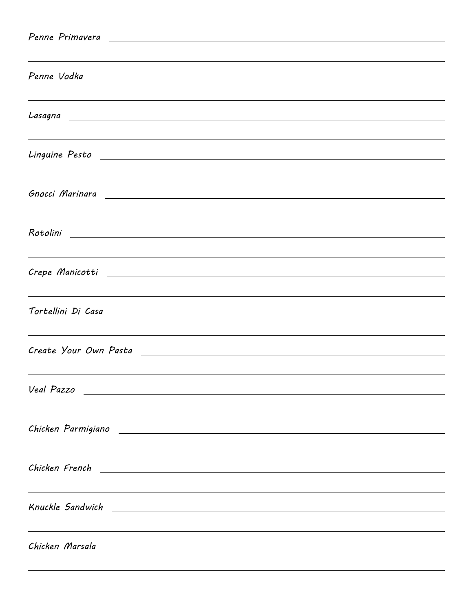| Penne Primavera <u>and a communication of the series of the series of the series of the series of the series of the series of the series of the series of the series of the series of the series of the series of the series of </u> |
|--------------------------------------------------------------------------------------------------------------------------------------------------------------------------------------------------------------------------------------|
| ,我们也不会有什么。""我们的人,我们也不会有什么?""我们的人,我们也不会有什么?""我们的人,我们也不会有什么?""我们的人,我们也不会有什么?""我们的人                                                                                                                                                     |
|                                                                                                                                                                                                                                      |
|                                                                                                                                                                                                                                      |
| Lasagna<br><u> 1989 - Jan Samuel Barbara, martin da shekara ta 1989 - An tsara tsara tsara tsara tsara tsara tsara tsara tsa</u>                                                                                                     |
|                                                                                                                                                                                                                                      |
|                                                                                                                                                                                                                                      |
|                                                                                                                                                                                                                                      |
|                                                                                                                                                                                                                                      |
| <u> 1989 - Andrea Barbara, Amerikaansk politik (d. 1989)</u>                                                                                                                                                                         |
|                                                                                                                                                                                                                                      |
| ,我们也不会有什么。""我们的人,我们也不会有什么?""我们的人,我们也不会有什么?""我们的人,我们也不会有什么?""我们的人,我们也不会有什么?""我们的人                                                                                                                                                     |
| Crepe Manicotti <u>alla provincia della contradica di controlla controlla controlla controlla controlla controlla</u>                                                                                                                |
|                                                                                                                                                                                                                                      |
| Tortellini Di Casa<br><u> 1989 - Johann Harry Harry Harry Harry Harry Harry Harry Harry Harry Harry Harry Harry Harry Harry Harry Harry</u>                                                                                          |
|                                                                                                                                                                                                                                      |
|                                                                                                                                                                                                                                      |
|                                                                                                                                                                                                                                      |
| Veal Pazzo<br><u> 1989 - Andrea San Andrea San Andrea San Andrea San Andrea San Andrea San Andrea San Andrea San Andrea San An</u>                                                                                                   |
| ,我们也不会有什么。""我们的人,我们也不会有什么?""我们的人,我们也不会有什么?""我们的人,我们也不会有什么?""我们的人,我们也不会有什么?""我们的人                                                                                                                                                     |
|                                                                                                                                                                                                                                      |
|                                                                                                                                                                                                                                      |
| Chicken French<br><u> 1989 - Jan Alexander de Santa Grande de la contrada de la contrada de la contrada de la contrada de la contra</u>                                                                                              |
| ,我们也不会有什么。""我们的人,我们也不会有什么?""我们的人,我们也不会有什么?""我们的人,我们也不会有什么?""我们的人,我们也不会有什么?""我们的人                                                                                                                                                     |
| Knuckle Sandwich<br><u> 1989 - Andrea Stadt Britain, amerikansk politik (d. 1989)</u>                                                                                                                                                |
|                                                                                                                                                                                                                                      |
| Chicken Marsala<br><u> 1989 - Johann Stoff, deutscher Stoff, der Stoff, der Stoff, der Stoff, der Stoff, der Stoff, der Stoff, der S</u>                                                                                             |
|                                                                                                                                                                                                                                      |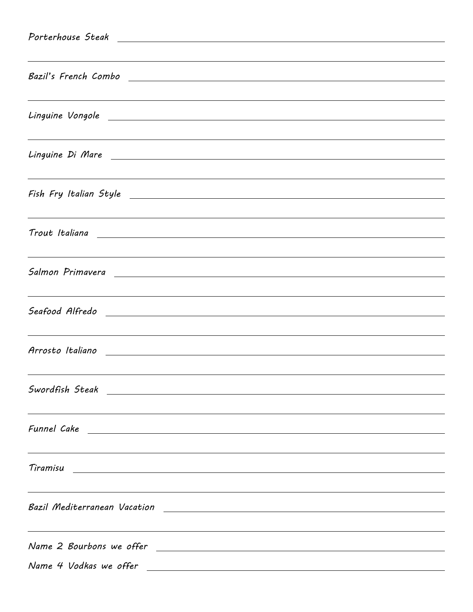| ,我们也不会有什么。""我们的人,我们也不会有什么?""我们的人,我们也不会有什么?""我们的人,我们也不会有什么?""我们的人,我们也不会有什么?""我们的人                                                                                                                                                    |                                                                                                                        |
|-------------------------------------------------------------------------------------------------------------------------------------------------------------------------------------------------------------------------------------|------------------------------------------------------------------------------------------------------------------------|
|                                                                                                                                                                                                                                     |                                                                                                                        |
| ,我们也不会有什么。""我们的人,我们也不会有什么?""我们的人,我们也不会有什么?""我们的人,我们也不会有什么?""我们的人,我们也不会有什么?""我们的人                                                                                                                                                    |                                                                                                                        |
|                                                                                                                                                                                                                                     |                                                                                                                        |
| ,我们也不会有什么。""我们的人,我们也不会有什么?""我们的人,我们也不会有什么?""我们的人,我们也不会有什么?""我们的人,我们也不会有什么?""我们的人                                                                                                                                                    |                                                                                                                        |
|                                                                                                                                                                                                                                     |                                                                                                                        |
|                                                                                                                                                                                                                                     |                                                                                                                        |
|                                                                                                                                                                                                                                     |                                                                                                                        |
| <u> 2008 - Ann an Dùbhlachd ann an Dùbhlachd ann an Dùbhlachd ann an Dùbhlachd ann an Dùbhlachd ann an Dùbhlachd</u>                                                                                                                |                                                                                                                        |
|                                                                                                                                                                                                                                     |                                                                                                                        |
| ,我们也不会有什么。""我们的人,我们也不会有什么?""我们的人,我们也不会有什么?""我们的人,我们也不会有什么?""我们的人,我们也不会有什么?""我们的人                                                                                                                                                    |                                                                                                                        |
|                                                                                                                                                                                                                                     |                                                                                                                        |
|                                                                                                                                                                                                                                     |                                                                                                                        |
|                                                                                                                                                                                                                                     |                                                                                                                        |
|                                                                                                                                                                                                                                     |                                                                                                                        |
|                                                                                                                                                                                                                                     |                                                                                                                        |
|                                                                                                                                                                                                                                     |                                                                                                                        |
|                                                                                                                                                                                                                                     |                                                                                                                        |
|                                                                                                                                                                                                                                     |                                                                                                                        |
| Funnel Cake <u>experimental</u> care and the contract of the contract of the contract of the contract of the contract of the contract of the contract of the contract of the contract of the contract of the contract of the contra |                                                                                                                        |
|                                                                                                                                                                                                                                     |                                                                                                                        |
| Tiramisu<br><u> Andreas Andreas Andreas Andreas Andreas Andreas Andreas Andreas Andreas Andreas Andreas Andreas Andreas Andr</u>                                                                                                    |                                                                                                                        |
|                                                                                                                                                                                                                                     | ,我们也不会有什么。""我们的人,我们也不会有什么?""我们的人,我们也不会有什么?""我们的人,我们也不会有什么?""我们的人,我们也不会有什么?""我们的人                                       |
|                                                                                                                                                                                                                                     |                                                                                                                        |
|                                                                                                                                                                                                                                     |                                                                                                                        |
| Name 2 Bourbons we offer                                                                                                                                                                                                            | <u> 1989 - Johann Stoff, deutscher Stoffen und der Stoffen und der Stoffen und der Stoffen und der Stoffen und der</u> |
| Name 4 Vodkas we offer                                                                                                                                                                                                              | <u> 1989 - Johann Barn, amerikansk politiker (d. 1989)</u>                                                             |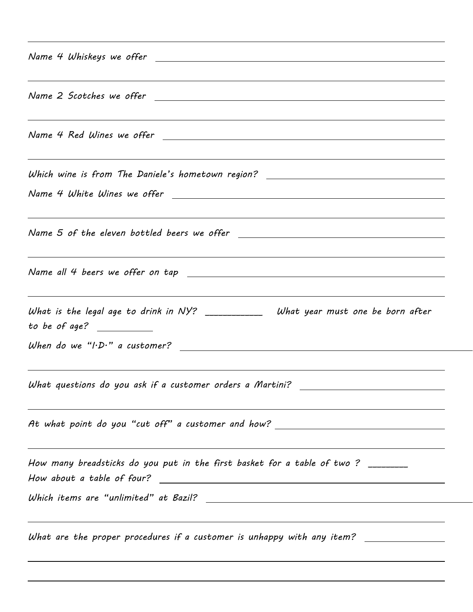| <u> 1989 - Andrea Santana, amerikana amerikana amerikana amerikana amerikana amerikana amerikana amerikana amerika</u><br>Name 2 Scotches we offer                                                       |
|----------------------------------------------------------------------------------------------------------------------------------------------------------------------------------------------------------|
|                                                                                                                                                                                                          |
| <u> 2008 - Ann an Dùbhlachd ann an Dùbhlachd ann an Dùbhlachd ann an Dùbhlachd ann an Dùbhlachd ann an Dùbhlachd</u><br>Which wine is from The Daniele's hometown region? ______________________________ |
|                                                                                                                                                                                                          |
| Name 5 of the eleven bottled beers we offer <u>___________________________________</u>                                                                                                                   |
| ,我们也不会有什么。""我们的人,我们也不会有什么?""我们的人,我们也不会有什么?""我们的人,我们也不会有什么?""我们的人,我们也不会有什么?""我们的人                                                                                                                         |
| What is the legal age to drink in NY? ________________ What year must one be born after<br>to be of age? $\qquad \qquad$                                                                                 |
|                                                                                                                                                                                                          |
| What questions do you ask if a customer orders a Martini? _______________________                                                                                                                        |
| At what point do you "cut off" a customer and how? ______________________________                                                                                                                        |
| How many breadsticks do you put in the first basket for a table of two? ________                                                                                                                         |
|                                                                                                                                                                                                          |
| What are the proper procedures if a customer is unhappy with any item? ________________                                                                                                                  |
|                                                                                                                                                                                                          |